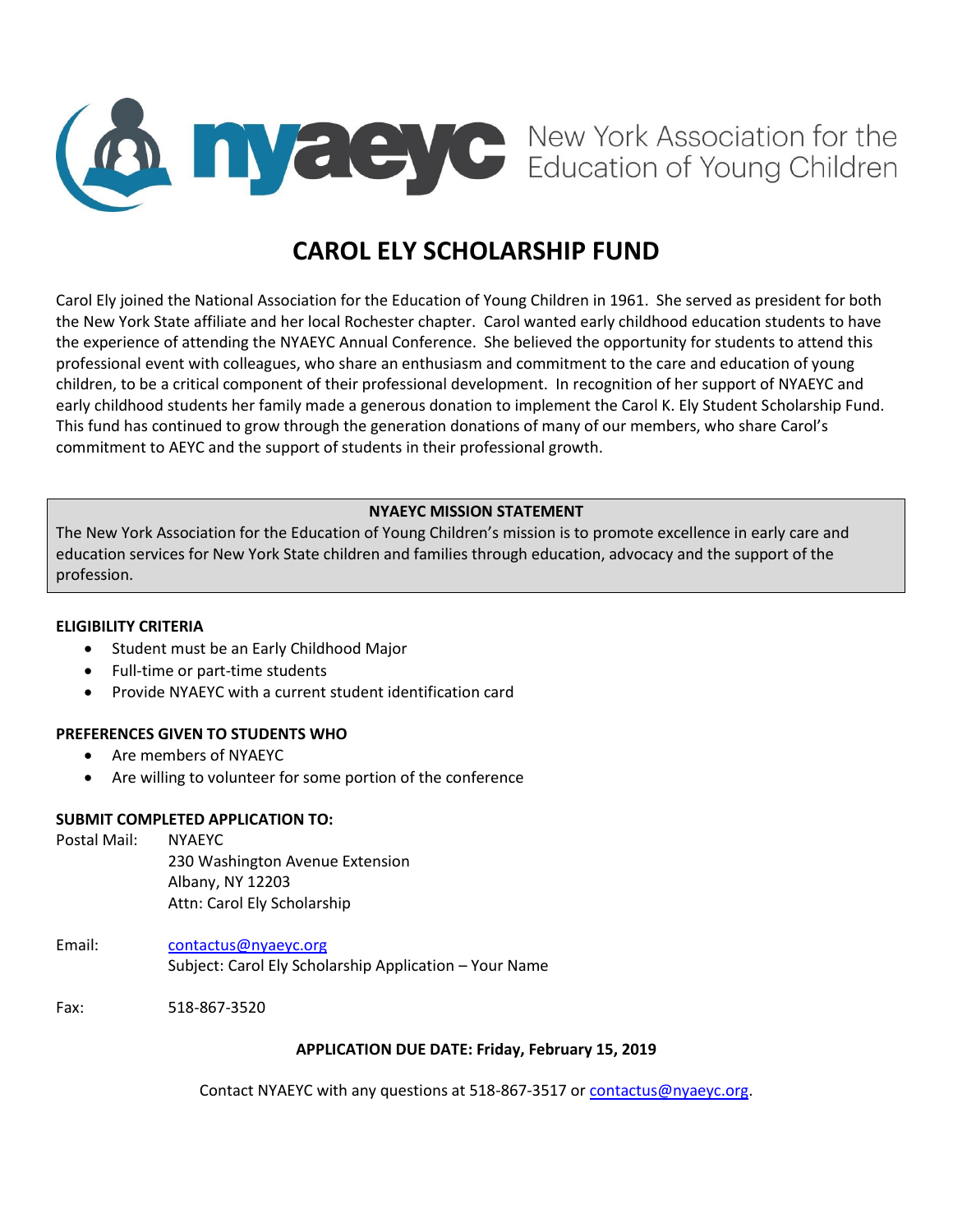

# **CAROL ELY SCHOLARSHIP FUND**

Carol Ely joined the National Association for the Education of Young Children in 1961. She served as president for both the New York State affiliate and her local Rochester chapter. Carol wanted early childhood education students to have the experience of attending the NYAEYC Annual Conference. She believed the opportunity for students to attend this professional event with colleagues, who share an enthusiasm and commitment to the care and education of young children, to be a critical component of their professional development. In recognition of her support of NYAEYC and early childhood students her family made a generous donation to implement the Carol K. Ely Student Scholarship Fund. This fund has continued to grow through the generation donations of many of our members, who share Carol's commitment to AEYC and the support of students in their professional growth.

### **NYAEYC MISSION STATEMENT**

The New York Association for the Education of Young Children's mission is to promote excellence in early care and education services for New York State children and families through education, advocacy and the support of the profession.

#### **ELIGIBILITY CRITERIA**

- **•** Student must be an Early Childhood Major
- Full-time or part-time students
- Provide NYAEYC with a current student identification card

#### **PREFERENCES GIVEN TO STUDENTS WHO**

- Are members of NYAEYC
- Are willing to volunteer for some portion of the conference

#### **SUBMIT COMPLETED APPLICATION TO:**

Postal Mail: NYAEYC 230 Washington Avenue Extension Albany, NY 12203 Attn: Carol Ely Scholarship

Email: [contactus@nyaeyc.org](mailto:contactus@nyaeyc.org) Subject: Carol Ely Scholarship Application – Your Name

Fax: 518-867-3520

#### **APPLICATION DUE DATE: Friday, February 15, 2019**

Contact NYAEYC with any questions at 518-867-3517 o[r contactus@nyaeyc.org.](mailto:contactus@nyaeyc.org)